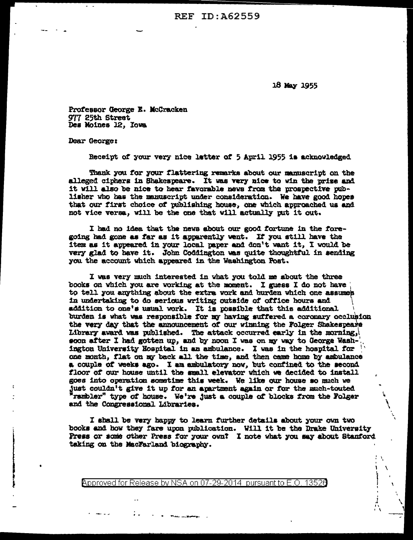**REF ID: A62559** 

18 May 1955

Professor George E. McCracken 977 25th Street Des Moines 12, Iowa

Dear George:

Receipt of your very nice letter of 5 April 1955 is acknowledged

Thank you for your flattering remarks about our manuscript on the alleged ciphers in Shakespeare. It was very nice to win the prize and it will also be nice to hear favorable news from the prospective publisher who has the manuscript under consideration. We have good hopes that our first choice of publishing house, one which approached us and not vice versa, will be the one that will actually put it out.

I had no idea that the news about our good fortune in the foregoing had gone as far as it apparently went. If you still have the item as it appeared in your local paper and don't want it, I would be very glad to have it. John Coddington was quite thoughtful in sending you the account which appeared in the Washington Post.

I was very much interested in what you told me about the three books on which you are working at the moment. I guess I do not have to tell you anything about the extra work and hurden which one assumes in undertaking to do serious writing outside of office hours and addition to one's usual work. It is possible that this additional burden is what was responsible for my having suffered a coronary occlusion the very day that the announcement of our winning the Folger Shakespears Library award was published. The attack occurred early in the morning, soon after I had gotten up, and by noon I was on my way to George Washington University Hospital in an ambulance. I was in the hospital for one month, flat on my back all the time, and then came home by ambulance a couple of weeks ago. I am ambulatory now, but confined to the second floor of our house until the small elevator which we decided to install goes into operation sometime this week. We like our house so much we just couldn't give it up for an apartment again or for the much-touted 'rambler" type of house. We're just a couple of blocks from the Folger and the Congressional Libraries.

I shall be very happy to learn further details about your own two books and how they fare upon publication. Will it be the Drake University Press or some other Press for your own? I note what you say about Stanford taking on the MacFarland biography.

Approved for Release by NSA on 07-29-2014 pursuant to E.O. 13526